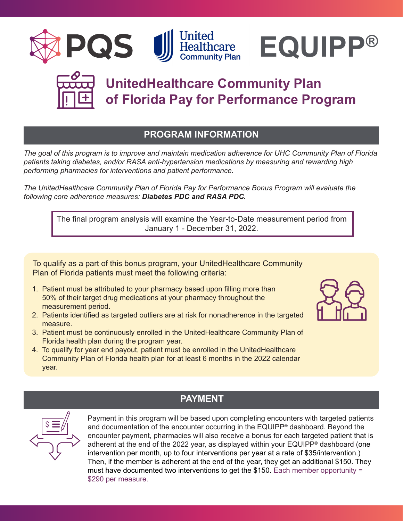





# **UnitedHealthcare Community Plan of Florida Pay for Performance Program**

### **PROGRAM INFORMATION**

*The goal of this program is to improve and maintain medication adherence for UHC Community Plan of Florida patients taking diabetes, and/or RASA anti-hypertension medications by measuring and rewarding high performing pharmacies for interventions and patient performance.*

*The UnitedHealthcare Community Plan of Florida Pay for Performance Bonus Program will evaluate the following core adherence measures: Diabetes PDC and RASA PDC.*

The final program analysis will examine the Year-to-Date measurement period from January 1 - December 31, 2022.

To qualify as a part of this bonus program, your UnitedHealthcare Community Plan of Florida patients must meet the following criteria:

- 1. Patient must be attributed to your pharmacy based upon filling more than 50% of their target drug medications at your pharmacy throughout the measurement period.
- 2. Patients identified as targeted outliers are at risk for nonadherence in the targeted measure.
- 3. Patient must be continuously enrolled in the UnitedHealthcare Community Plan of Florida health plan during the program year.
- 4. To qualify for year end payout, patient must be enrolled in the UnitedHealthcare Community Plan of Florida health plan for at least 6 months in the 2022 calendar year.





### **PAYMENT**

Payment in this program will be based upon completing encounters with targeted patients and documentation of the encounter occurring in the EQUIPP® dashboard. Beyond the encounter payment, pharmacies will also receive a bonus for each targeted patient that is adherent at the end of the 2022 year, as displayed within your EQUIPP<sup>®</sup> dashboard (one intervention per month, up to four interventions per year at a rate of \$35/intervention.) Then, if the member is adherent at the end of the year, they get an additional \$150. They must have documented two interventions to get the \$150. Each member opportunity = \$290 per measure.